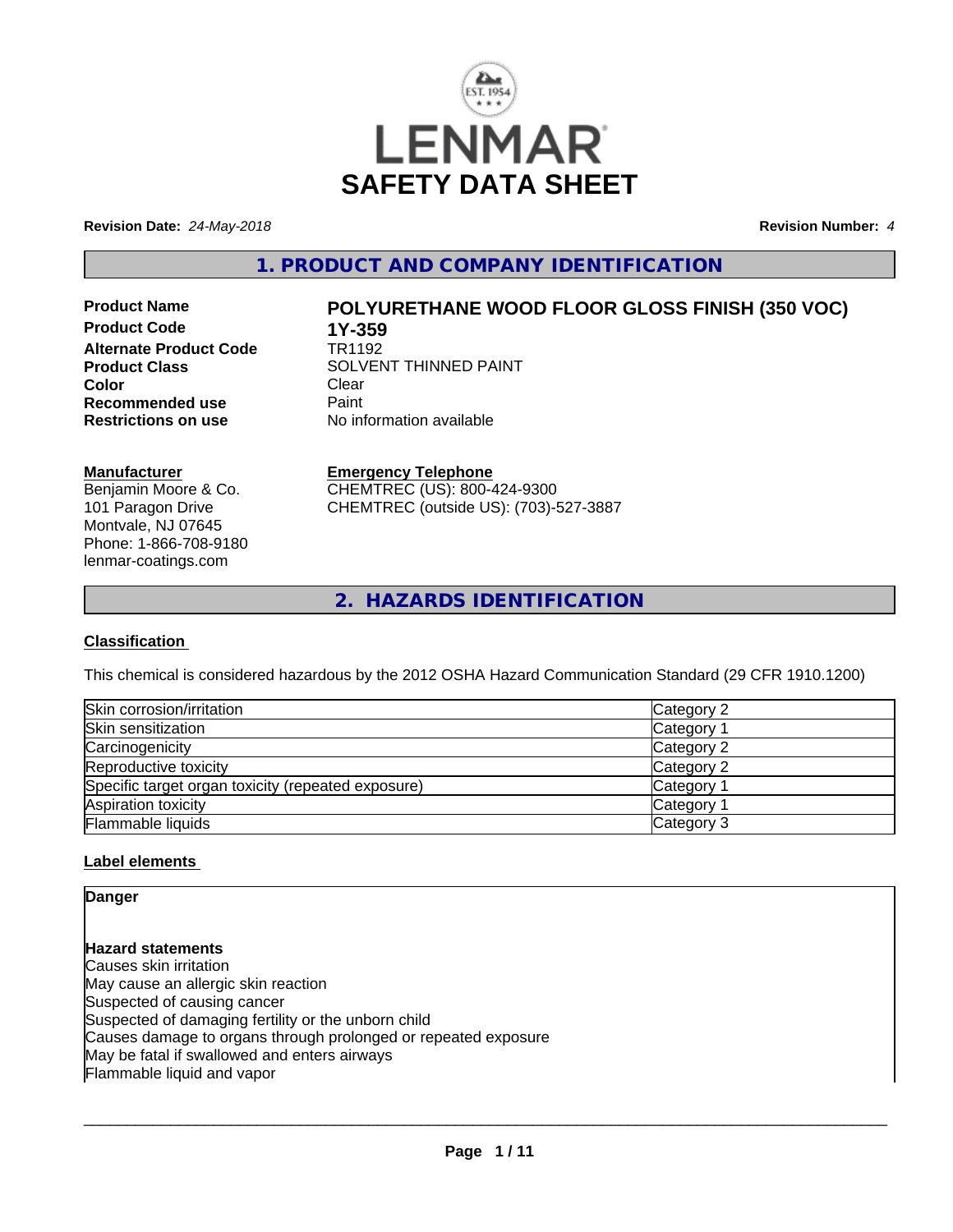

**Revision Date:** *24-May-2018* **Revision Number:** *4*

# **1. PRODUCT AND COMPANY IDENTIFICATION**

**Product Code 1Y-359**<br>**Alternate Product Code 1R1192 Alternate Product Code Color** Clear Clear **Recommended use Faint Paint<br>
<b>Restrictions on use** No inf

# **Product Name POLYURETHANE WOOD FLOOR GLOSS FINISH (350 VOC)**

**Product Class** SOLVENT THINNED PAINT<br>
Color **No information available** 

# **Manufacturer**

Benjamin Moore & Co. 101 Paragon Drive Montvale, NJ 07645 Phone: 1-866-708-9180 lenmar-coatings.com

# **Emergency Telephone**

CHEMTREC (US): 800-424-9300 CHEMTREC (outside US): (703)-527-3887

**2. HAZARDS IDENTIFICATION**

# **Classification**

This chemical is considered hazardous by the 2012 OSHA Hazard Communication Standard (29 CFR 1910.1200)

| Skin corrosion/irritation                          | Category 2            |
|----------------------------------------------------|-----------------------|
| Skin sensitization                                 | Category              |
| Carcinogenicity                                    | Category 2            |
| Reproductive toxicity                              | Category 2            |
| Specific target organ toxicity (repeated exposure) | Category <sup>2</sup> |
| Aspiration toxicity                                | Category              |
| Flammable liquids                                  | Category 3            |

#### **Label elements**

**Danger**

**Hazard statements** Causes skin irritation May cause an allergic skin reaction Suspected of causing cancer Suspected of damaging fertility or the unborn child Causes damage to organs through prolonged or repeated exposure May be fatal if swallowed and enters airways Flammable liquid and vapor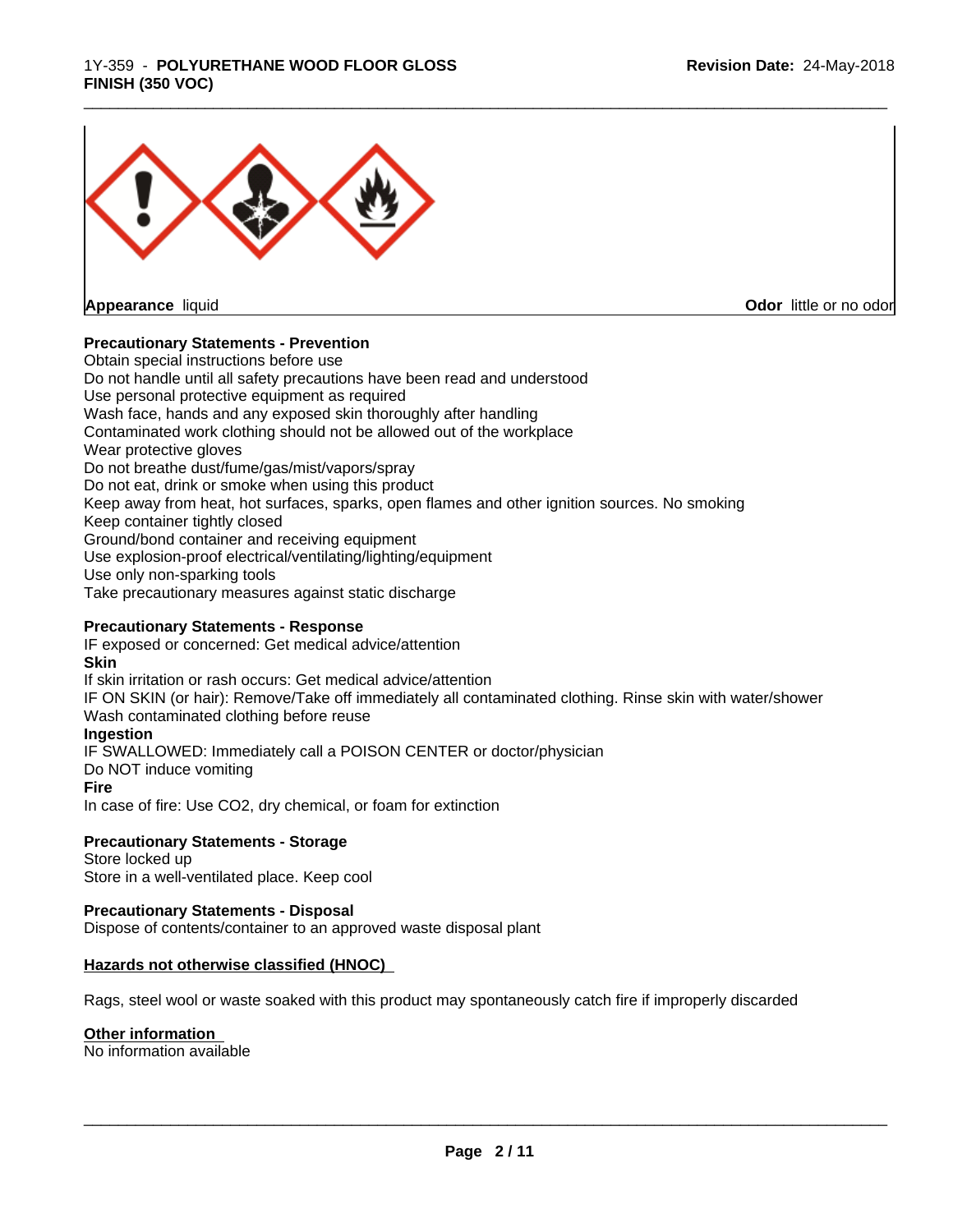# 1Y-359 - **POLYURETHANE WOOD FLOOR GLOSS FINISH (350 VOC)**



**Appearance** liquid

**Odor** little or no odor

# **Precautionary Statements - Prevention**

Obtain special instructions before use Do not handle until all safety precautions have been read and understood Use personal protective equipment as required Wash face, hands and any exposed skin thoroughly after handling Contaminated work clothing should not be allowed out of the workplace Wear protective gloves Do not breathe dust/fume/gas/mist/vapors/spray Do not eat, drink or smoke when using this product Keep away from heat, hot surfaces, sparks, open flames and other ignition sources. No smoking Keep container tightly closed Ground/bond container and receiving equipment Use explosion-proof electrical/ventilating/lighting/equipment Use only non-sparking tools Take precautionary measures against static discharge

\_\_\_\_\_\_\_\_\_\_\_\_\_\_\_\_\_\_\_\_\_\_\_\_\_\_\_\_\_\_\_\_\_\_\_\_\_\_\_\_\_\_\_\_\_\_\_\_\_\_\_\_\_\_\_\_\_\_\_\_\_\_\_\_\_\_\_\_\_\_\_\_\_\_\_\_\_\_\_\_\_\_\_\_\_\_\_\_\_\_\_\_\_

#### **Precautionary Statements - Response**

IF exposed or concerned: Get medical advice/attention **Skin** If skin irritation or rash occurs: Get medical advice/attention IF ON SKIN (or hair): Remove/Take off immediately all contaminated clothing. Rinse skin with water/shower Wash contaminated clothing before reuse **Ingestion** IF SWALLOWED: Immediately call a POISON CENTER or doctor/physician Do NOT induce vomiting **Fire** In case of fire: Use CO2, dry chemical, or foam for extinction

# **Precautionary Statements - Storage**

Store locked up Store in a well-ventilated place. Keep cool

#### **Precautionary Statements - Disposal**

Dispose of contents/container to an approved waste disposal plant

#### **Hazards not otherwise classified (HNOC)**

Rags, steel wool or waste soaked with this product may spontaneously catch fire if improperly discarded

#### **Other information**

No information available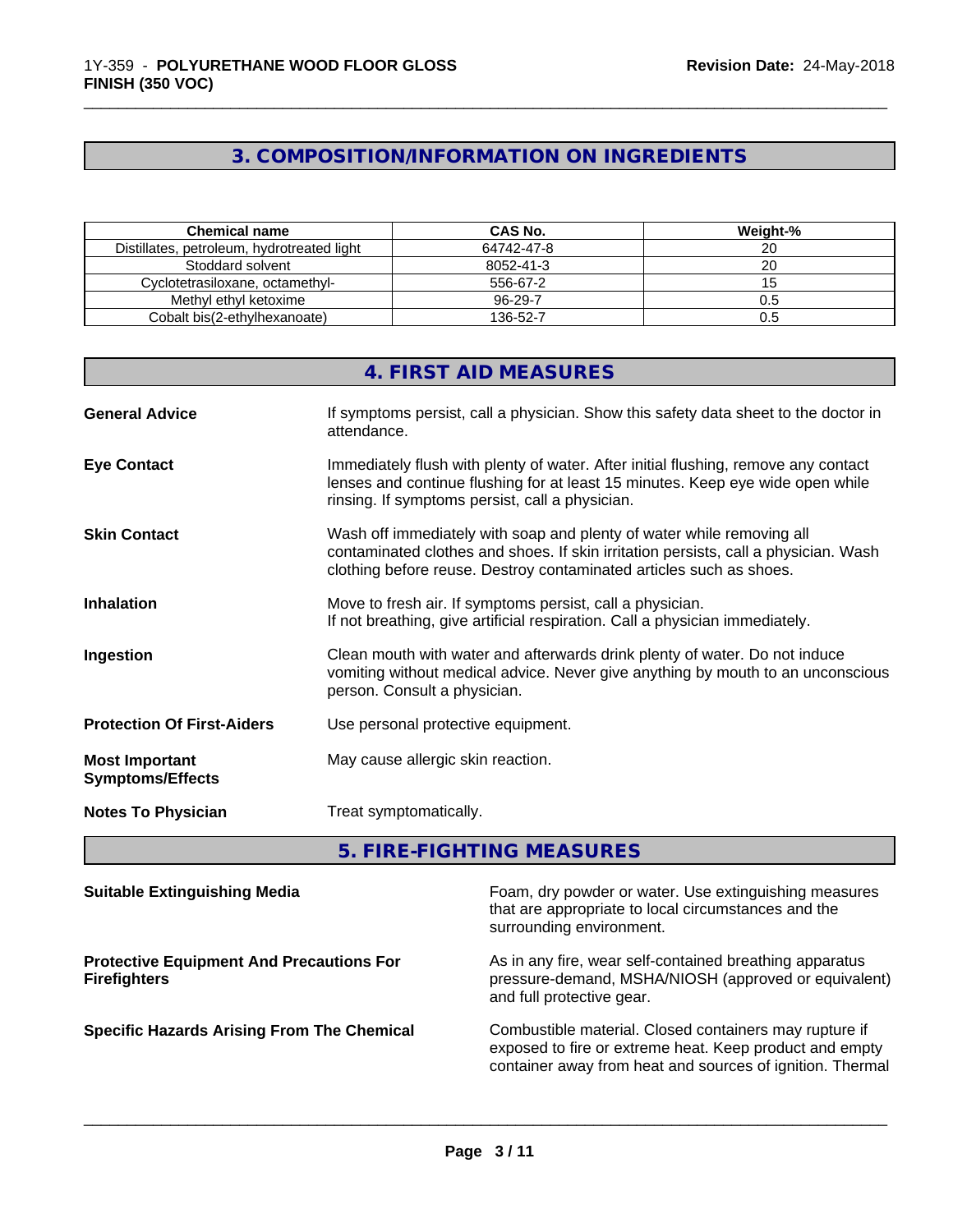# **3. COMPOSITION/INFORMATION ON INGREDIENTS**

\_\_\_\_\_\_\_\_\_\_\_\_\_\_\_\_\_\_\_\_\_\_\_\_\_\_\_\_\_\_\_\_\_\_\_\_\_\_\_\_\_\_\_\_\_\_\_\_\_\_\_\_\_\_\_\_\_\_\_\_\_\_\_\_\_\_\_\_\_\_\_\_\_\_\_\_\_\_\_\_\_\_\_\_\_\_\_\_\_\_\_\_\_

| Chemical name                              | CAS No.    | Weight-% |
|--------------------------------------------|------------|----------|
| Distillates, petroleum, hydrotreated light | 64742-47-8 |          |
| Stoddard solvent                           | 8052-41-3  |          |
| Cvclotetrasiloxane. octamethvl-            | 556-67-2   |          |
| Methyl ethyl ketoxime                      | 96-29-7    | U.5      |
| Cobalt bis(2-ethylhexanoate)               | 136-52-7   | U.ʻJ     |

|                                                  | 4. FIRST AID MEASURES                                                                                                                                                                                                               |
|--------------------------------------------------|-------------------------------------------------------------------------------------------------------------------------------------------------------------------------------------------------------------------------------------|
| <b>General Advice</b>                            | If symptoms persist, call a physician. Show this safety data sheet to the doctor in<br>attendance.                                                                                                                                  |
| <b>Eye Contact</b>                               | Immediately flush with plenty of water. After initial flushing, remove any contact<br>lenses and continue flushing for at least 15 minutes. Keep eye wide open while<br>rinsing. If symptoms persist, call a physician.             |
| <b>Skin Contact</b>                              | Wash off immediately with soap and plenty of water while removing all<br>contaminated clothes and shoes. If skin irritation persists, call a physician. Wash<br>clothing before reuse. Destroy contaminated articles such as shoes. |
| <b>Inhalation</b>                                | Move to fresh air. If symptoms persist, call a physician.<br>If not breathing, give artificial respiration. Call a physician immediately.                                                                                           |
| Ingestion                                        | Clean mouth with water and afterwards drink plenty of water. Do not induce<br>vomiting without medical advice. Never give anything by mouth to an unconscious<br>person. Consult a physician.                                       |
| <b>Protection Of First-Aiders</b>                | Use personal protective equipment.                                                                                                                                                                                                  |
| <b>Most Important</b><br><b>Symptoms/Effects</b> | May cause allergic skin reaction.                                                                                                                                                                                                   |
| <b>Notes To Physician</b>                        | Treat symptomatically.                                                                                                                                                                                                              |

**5. FIRE-FIGHTING MEASURES**

| <b>Suitable Extinguishing Media</b>                                    | Foam, dry powder or water. Use extinguishing measures<br>that are appropriate to local circumstances and the<br>surrounding environment.                                       |
|------------------------------------------------------------------------|--------------------------------------------------------------------------------------------------------------------------------------------------------------------------------|
| <b>Protective Equipment And Precautions For</b><br><b>Firefighters</b> | As in any fire, wear self-contained breathing apparatus<br>pressure-demand, MSHA/NIOSH (approved or equivalent)<br>and full protective gear.                                   |
| <b>Specific Hazards Arising From The Chemical</b>                      | Combustible material. Closed containers may rupture if<br>exposed to fire or extreme heat. Keep product and empty<br>container away from heat and sources of ignition. Thermal |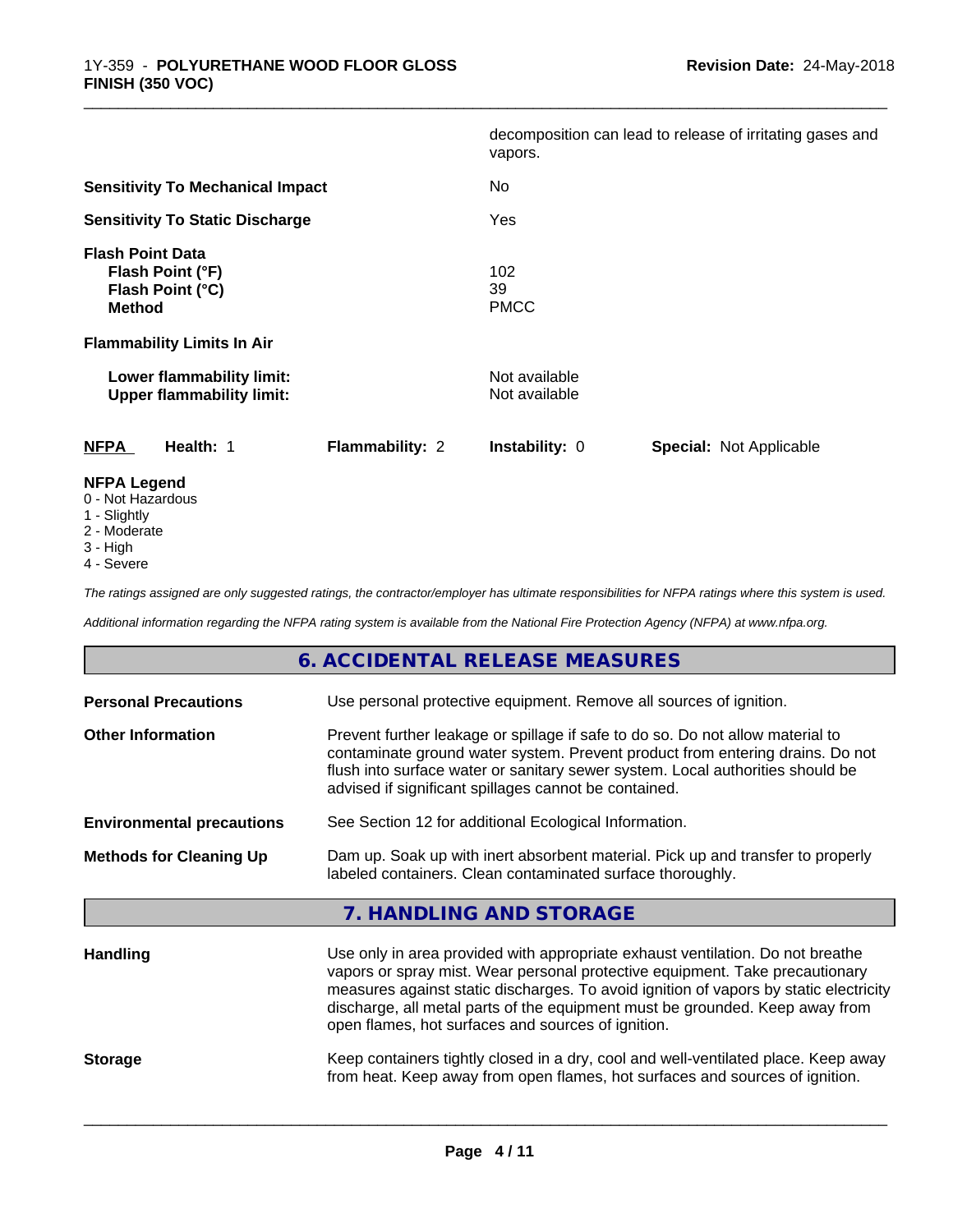|                                                                                  |                 | vapors.                        | decomposition can lead to release of irritating gases and |
|----------------------------------------------------------------------------------|-----------------|--------------------------------|-----------------------------------------------------------|
| <b>Sensitivity To Mechanical Impact</b>                                          |                 | No.                            |                                                           |
| <b>Sensitivity To Static Discharge</b>                                           |                 | Yes                            |                                                           |
| <b>Flash Point Data</b><br>Flash Point (°F)<br>Flash Point (°C)<br><b>Method</b> |                 | 102<br>39<br><b>PMCC</b>       |                                                           |
| <b>Flammability Limits In Air</b>                                                |                 |                                |                                                           |
| Lower flammability limit:<br><b>Upper flammability limit:</b>                    |                 | Not available<br>Not available |                                                           |
| <b>NFPA</b><br>Health: 1                                                         | Flammability: 2 | Instability: 0                 | <b>Special: Not Applicable</b>                            |
| <b>NFPA Legend</b><br>0 Not Hozardous                                            |                 |                                |                                                           |

\_\_\_\_\_\_\_\_\_\_\_\_\_\_\_\_\_\_\_\_\_\_\_\_\_\_\_\_\_\_\_\_\_\_\_\_\_\_\_\_\_\_\_\_\_\_\_\_\_\_\_\_\_\_\_\_\_\_\_\_\_\_\_\_\_\_\_\_\_\_\_\_\_\_\_\_\_\_\_\_\_\_\_\_\_\_\_\_\_\_\_\_\_

- 0 Not Hazardous
- 1 Slightly
- 2 Moderate
- 3 High
- 4 Severe

*The ratings assigned are only suggested ratings, the contractor/employer has ultimate responsibilities for NFPA ratings where this system is used.*

*Additional information regarding the NFPA rating system is available from the National Fire Protection Agency (NFPA) at www.nfpa.org.*

|                                  | 6. ACCIDENTAL RELEASE MEASURES                                                                                                                                                                                                                                                                                                                                                                |
|----------------------------------|-----------------------------------------------------------------------------------------------------------------------------------------------------------------------------------------------------------------------------------------------------------------------------------------------------------------------------------------------------------------------------------------------|
| <b>Personal Precautions</b>      | Use personal protective equipment. Remove all sources of ignition.                                                                                                                                                                                                                                                                                                                            |
| <b>Other Information</b>         | Prevent further leakage or spillage if safe to do so. Do not allow material to<br>contaminate ground water system. Prevent product from entering drains. Do not<br>flush into surface water or sanitary sewer system. Local authorities should be<br>advised if significant spillages cannot be contained.                                                                                    |
| <b>Environmental precautions</b> | See Section 12 for additional Ecological Information.                                                                                                                                                                                                                                                                                                                                         |
| <b>Methods for Cleaning Up</b>   | Dam up. Soak up with inert absorbent material. Pick up and transfer to properly<br>labeled containers. Clean contaminated surface thoroughly.                                                                                                                                                                                                                                                 |
|                                  | 7. HANDLING AND STORAGE                                                                                                                                                                                                                                                                                                                                                                       |
| <b>Handling</b>                  | Use only in area provided with appropriate exhaust ventilation. Do not breathe<br>vapors or spray mist. Wear personal protective equipment. Take precautionary<br>measures against static discharges. To avoid ignition of vapors by static electricity<br>discharge, all metal parts of the equipment must be grounded. Keep away from<br>open flames, hot surfaces and sources of ignition. |
| <b>Storage</b>                   | Keep containers tightly closed in a dry, cool and well-ventilated place. Keep away<br>from heat. Keep away from open flames, hot surfaces and sources of ignition.                                                                                                                                                                                                                            |
|                                  |                                                                                                                                                                                                                                                                                                                                                                                               |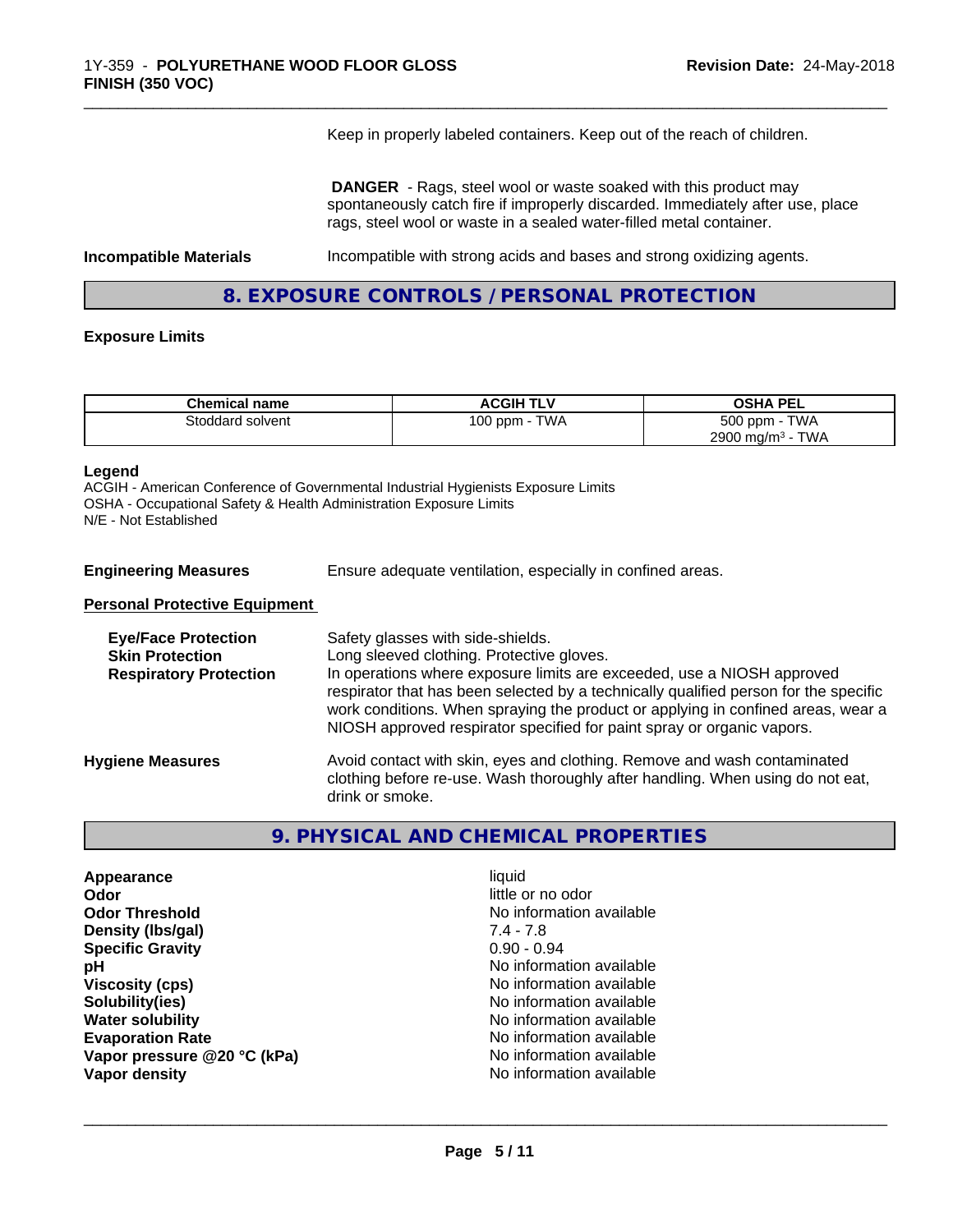Keep in properly labeled containers. Keep out of the reach of children.

\_\_\_\_\_\_\_\_\_\_\_\_\_\_\_\_\_\_\_\_\_\_\_\_\_\_\_\_\_\_\_\_\_\_\_\_\_\_\_\_\_\_\_\_\_\_\_\_\_\_\_\_\_\_\_\_\_\_\_\_\_\_\_\_\_\_\_\_\_\_\_\_\_\_\_\_\_\_\_\_\_\_\_\_\_\_\_\_\_\_\_\_\_

 **DANGER** - Rags, steel wool or waste soaked with this product may spontaneously catch fire if improperly discarded. Immediately after use, place rags, steel wool or waste in a sealed water-filled metal container.

**Incompatible Materials Incompatible with strong acids and bases and strong oxidizing agents.** 

**8. EXPOSURE CONTROLS / PERSONAL PROTECTION**

#### **Exposure Limits**

| <b>Chemical name</b> | <b>ACGIH TLV</b>                       | <b>OSHA PEL</b>                 |
|----------------------|----------------------------------------|---------------------------------|
| Stoddard solvent     | <b>TWA</b><br>100 ppm - $\overline{1}$ | <b>TWA</b><br>500 ppm -         |
|                      |                                        | TWA<br>2900 mg/m <sup>3</sup> - |

#### **Legend**

ACGIH - American Conference of Governmental Industrial Hygienists Exposure Limits OSHA - Occupational Safety & Health Administration Exposure Limits N/E - Not Established

**Engineering Measures** Ensure adequate ventilation, especially in confined areas.

#### **Personal Protective Equipment**

| <b>Eye/Face Protection</b><br><b>Skin Protection</b><br><b>Respiratory Protection</b> | Safety glasses with side-shields.<br>Long sleeved clothing. Protective gloves.<br>In operations where exposure limits are exceeded, use a NIOSH approved<br>respirator that has been selected by a technically qualified person for the specific<br>work conditions. When spraying the product or applying in confined areas, wear a<br>NIOSH approved respirator specified for paint spray or organic vapors. |
|---------------------------------------------------------------------------------------|----------------------------------------------------------------------------------------------------------------------------------------------------------------------------------------------------------------------------------------------------------------------------------------------------------------------------------------------------------------------------------------------------------------|
| <b>Hygiene Measures</b>                                                               | Avoid contact with skin, eyes and clothing. Remove and wash contaminated<br>clothing before re-use. Wash thoroughly after handling. When using do not eat,<br>drink or smoke.                                                                                                                                                                                                                                  |

# **9. PHYSICAL AND CHEMICAL PROPERTIES**

| Appearance                  | liquid                   |
|-----------------------------|--------------------------|
| Odor                        | little or no odor        |
| <b>Odor Threshold</b>       | No information available |
| Density (Ibs/gal)           | $7.4 - 7.8$              |
| <b>Specific Gravity</b>     | $0.90 - 0.94$            |
| рH                          | No information available |
| <b>Viscosity (cps)</b>      | No information available |
| Solubility(ies)             | No information available |
| <b>Water solubility</b>     | No information available |
| <b>Evaporation Rate</b>     | No information available |
| Vapor pressure @20 °C (kPa) | No information available |
| Vapor density               | No information available |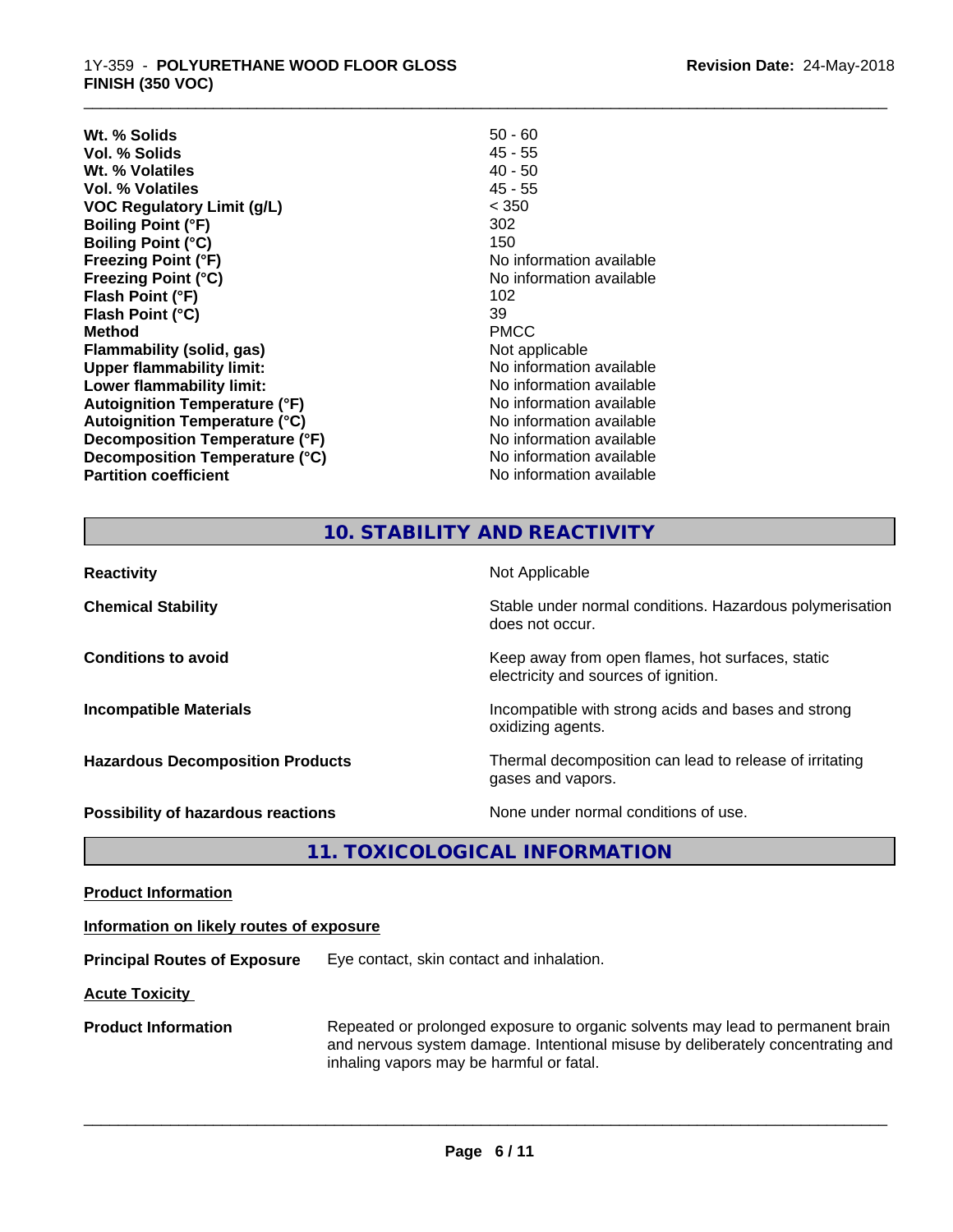**Wt. % Solids** 50 - 60 **Vol. % Solids** 45 - 55<br> **Wt. % Volatiles** 40 - 50 **Wt. % Volatiles Vol. % Volatiles** 45 - 55 **VOC Regulatory Limit (g/L)** < 350 **Boiling Point (°F)** 302 **Boiling Point (°C)** 150<br> **Freezing Point (°F)** No i **Freezing Point (°F)**<br> **Freezing Point (°C)**<br> **Freezing Point (°C)**<br> **Reezing Point (°C)**<br> **Reezing Point (°C) Flash Point (°F)** 102 **Flash Point (°C)** 39 **Method** PMCC **Flammability (solid, gas)**<br> **Commability limit:**<br>
Upper flammability limit:<br>
Wo information available **Upper flammability limit:**<br> **Lower flammability limit:**<br> **Lower flammability limit:**<br>
Mo information available **Lower flammability limit: Autoignition Temperature (°F)**<br> **Autoignition Temperature (°C)** No information available **Autoignition Temperature (°C) Decomposition Temperature (°F)** No information available **Decomposition Temperature (°C)**<br> **Partition coefficient**<br> **Partition coefficient**<br> **No** information available

**Freezing Point (°C)** No information available **No information available** 

\_\_\_\_\_\_\_\_\_\_\_\_\_\_\_\_\_\_\_\_\_\_\_\_\_\_\_\_\_\_\_\_\_\_\_\_\_\_\_\_\_\_\_\_\_\_\_\_\_\_\_\_\_\_\_\_\_\_\_\_\_\_\_\_\_\_\_\_\_\_\_\_\_\_\_\_\_\_\_\_\_\_\_\_\_\_\_\_\_\_\_\_\_

# **10. STABILITY AND REACTIVITY**

| <b>Reactivity</b>                       | Not Applicable                                                                           |
|-----------------------------------------|------------------------------------------------------------------------------------------|
| <b>Chemical Stability</b>               | Stable under normal conditions. Hazardous polymerisation<br>does not occur.              |
| <b>Conditions to avoid</b>              | Keep away from open flames, hot surfaces, static<br>electricity and sources of ignition. |
| <b>Incompatible Materials</b>           | Incompatible with strong acids and bases and strong<br>oxidizing agents.                 |
| <b>Hazardous Decomposition Products</b> | Thermal decomposition can lead to release of irritating<br>gases and vapors.             |
| Possibility of hazardous reactions      | None under normal conditions of use.                                                     |

**11. TOXICOLOGICAL INFORMATION**

**Product Information**

# **Information on likely routes of exposure**

**Principal Routes of Exposure** Eye contact, skin contact and inhalation.

**Acute Toxicity** 

**Product Information** Repeated or prolonged exposure to organic solvents may lead to permanent brain and nervous system damage. Intentional misuse by deliberately concentrating and inhaling vapors may be harmful or fatal.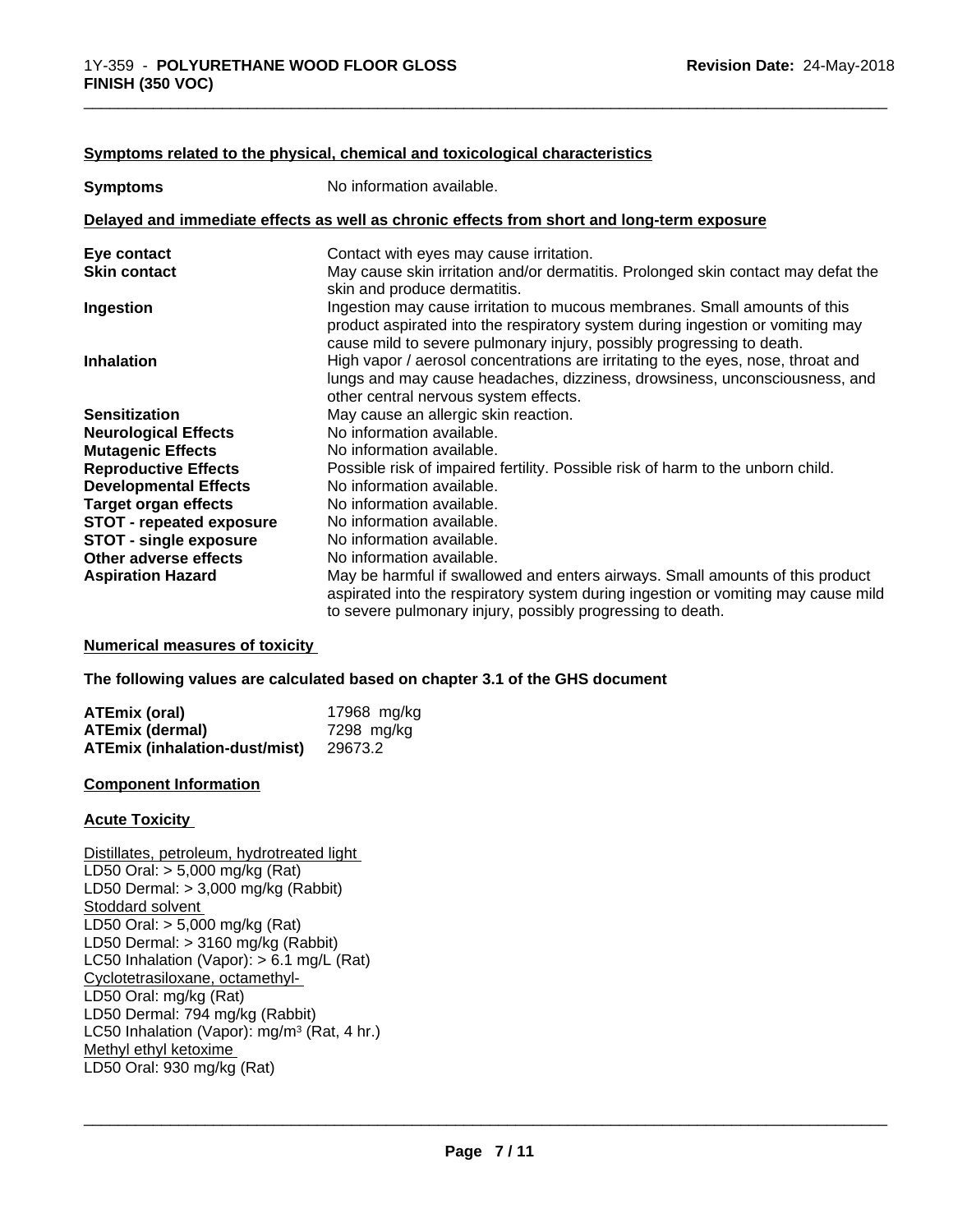#### **Symptoms related to the physical, chemical and toxicological characteristics**

| <b>Symptoms</b>                 | No information available.                                                                                                                                                                                                            |
|---------------------------------|--------------------------------------------------------------------------------------------------------------------------------------------------------------------------------------------------------------------------------------|
|                                 | Delayed and immediate effects as well as chronic effects from short and long-term exposure                                                                                                                                           |
| Eye contact                     | Contact with eyes may cause irritation.                                                                                                                                                                                              |
| <b>Skin contact</b>             | May cause skin irritation and/or dermatitis. Prolonged skin contact may defat the<br>skin and produce dermatitis.                                                                                                                    |
| Ingestion                       | Ingestion may cause irritation to mucous membranes. Small amounts of this<br>product aspirated into the respiratory system during ingestion or vomiting may<br>cause mild to severe pulmonary injury, possibly progressing to death. |
| <b>Inhalation</b>               | High vapor / aerosol concentrations are irritating to the eyes, nose, throat and<br>lungs and may cause headaches, dizziness, drowsiness, unconsciousness, and<br>other central nervous system effects.                              |
| <b>Sensitization</b>            | May cause an allergic skin reaction.                                                                                                                                                                                                 |
| <b>Neurological Effects</b>     | No information available.                                                                                                                                                                                                            |
| <b>Mutagenic Effects</b>        | No information available.                                                                                                                                                                                                            |
| <b>Reproductive Effects</b>     | Possible risk of impaired fertility. Possible risk of harm to the unborn child.                                                                                                                                                      |
| <b>Developmental Effects</b>    | No information available.                                                                                                                                                                                                            |
| <b>Target organ effects</b>     | No information available.                                                                                                                                                                                                            |
| <b>STOT - repeated exposure</b> | No information available.                                                                                                                                                                                                            |
| <b>STOT - single exposure</b>   | No information available.                                                                                                                                                                                                            |
| Other adverse effects           | No information available.                                                                                                                                                                                                            |
| <b>Aspiration Hazard</b>        | May be harmful if swallowed and enters airways. Small amounts of this product<br>aspirated into the respiratory system during ingestion or vomiting may cause mild<br>to severe pulmonary injury, possibly progressing to death.     |

**Numerical measures of toxicity**

**The following values are calculated based on chapter 3.1 of the GHS document**

| <b>ATEmix (oral)</b>                 | 17968 mg/kg |
|--------------------------------------|-------------|
| ATEmix (dermal)                      | 7298 ma/ka  |
| <b>ATEmix (inhalation-dust/mist)</b> | 29673.2     |

#### **Component Information**

#### **Acute Toxicity**

Distillates, petroleum, hydrotreated light LD50 Oral: > 5,000 mg/kg (Rat) LD50 Dermal: > 3,000 mg/kg (Rabbit) Stoddard solvent LD50 Oral: > 5,000 mg/kg (Rat) LD50 Dermal: > 3160 mg/kg (Rabbit) LC50 Inhalation (Vapor): > 6.1 mg/L (Rat) Cyclotetrasiloxane, octamethyl- LD50 Oral: mg/kg (Rat) LD50 Dermal: 794 mg/kg (Rabbit) LC50 Inhalation (Vapor): mg/m<sup>3</sup> (Rat, 4 hr.) Methyl ethyl ketoxime LD50 Oral: 930 mg/kg (Rat)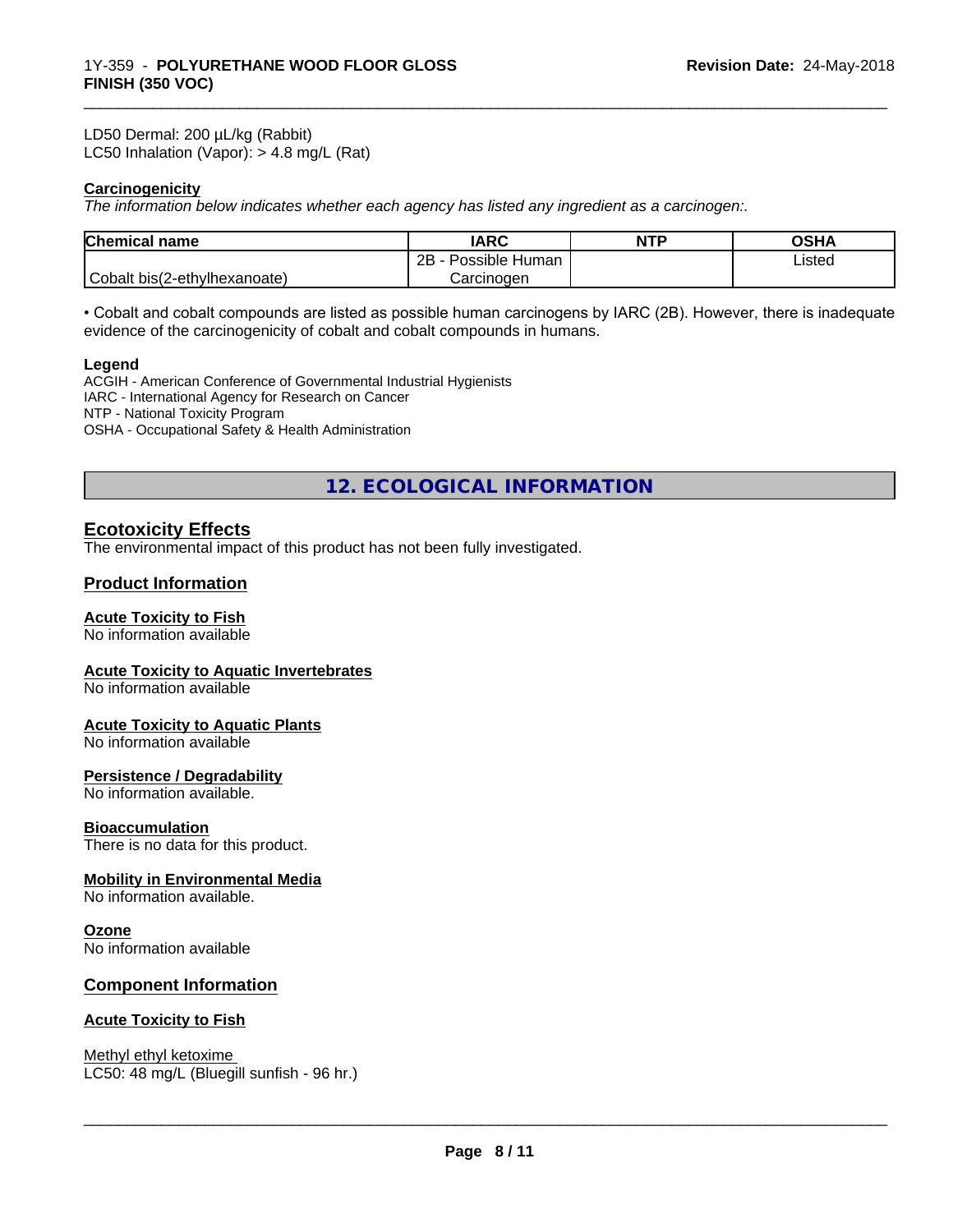LD50 Dermal: 200 µL/kg (Rabbit) LC50 Inhalation (Vapor): > 4.8 mg/L (Rat)

### **Carcinogenicity**

*The information below indicateswhether each agency has listed any ingredient as a carcinogen:.*

| <b>Chemical name</b>         | <b>IARC</b>                    | <b>NTP</b> | <b>OSHA</b> |
|------------------------------|--------------------------------|------------|-------------|
|                              | .<br>2B<br>Possible<br>· Human |            | Listed      |
| Cobalt bis(2-ethylhexanoate) | Carcinogen                     |            |             |

\_\_\_\_\_\_\_\_\_\_\_\_\_\_\_\_\_\_\_\_\_\_\_\_\_\_\_\_\_\_\_\_\_\_\_\_\_\_\_\_\_\_\_\_\_\_\_\_\_\_\_\_\_\_\_\_\_\_\_\_\_\_\_\_\_\_\_\_\_\_\_\_\_\_\_\_\_\_\_\_\_\_\_\_\_\_\_\_\_\_\_\_\_

• Cobalt and cobalt compounds are listed as possible human carcinogens by IARC (2B). However, there is inadequate evidence of the carcinogenicity of cobalt and cobalt compounds in humans.

#### **Legend**

ACGIH - American Conference of Governmental Industrial Hygienists IARC - International Agency for Research on Cancer NTP - National Toxicity Program OSHA - Occupational Safety & Health Administration

**12. ECOLOGICAL INFORMATION**

# **Ecotoxicity Effects**

The environmental impact of this product has not been fully investigated.

# **Product Information**

#### **Acute Toxicity to Fish**

No information available

#### **Acute Toxicity to Aquatic Invertebrates**

No information available

#### **Acute Toxicity to Aquatic Plants**

No information available

#### **Persistence / Degradability**

No information available.

#### **Bioaccumulation**

There is no data for this product.

#### **Mobility in Environmental Media**

No information available.

#### **Ozone**

No information available

#### **Component Information**

#### **Acute Toxicity to Fish**

Methyl ethyl ketoxime LC50: 48 mg/L (Bluegill sunfish - 96 hr.)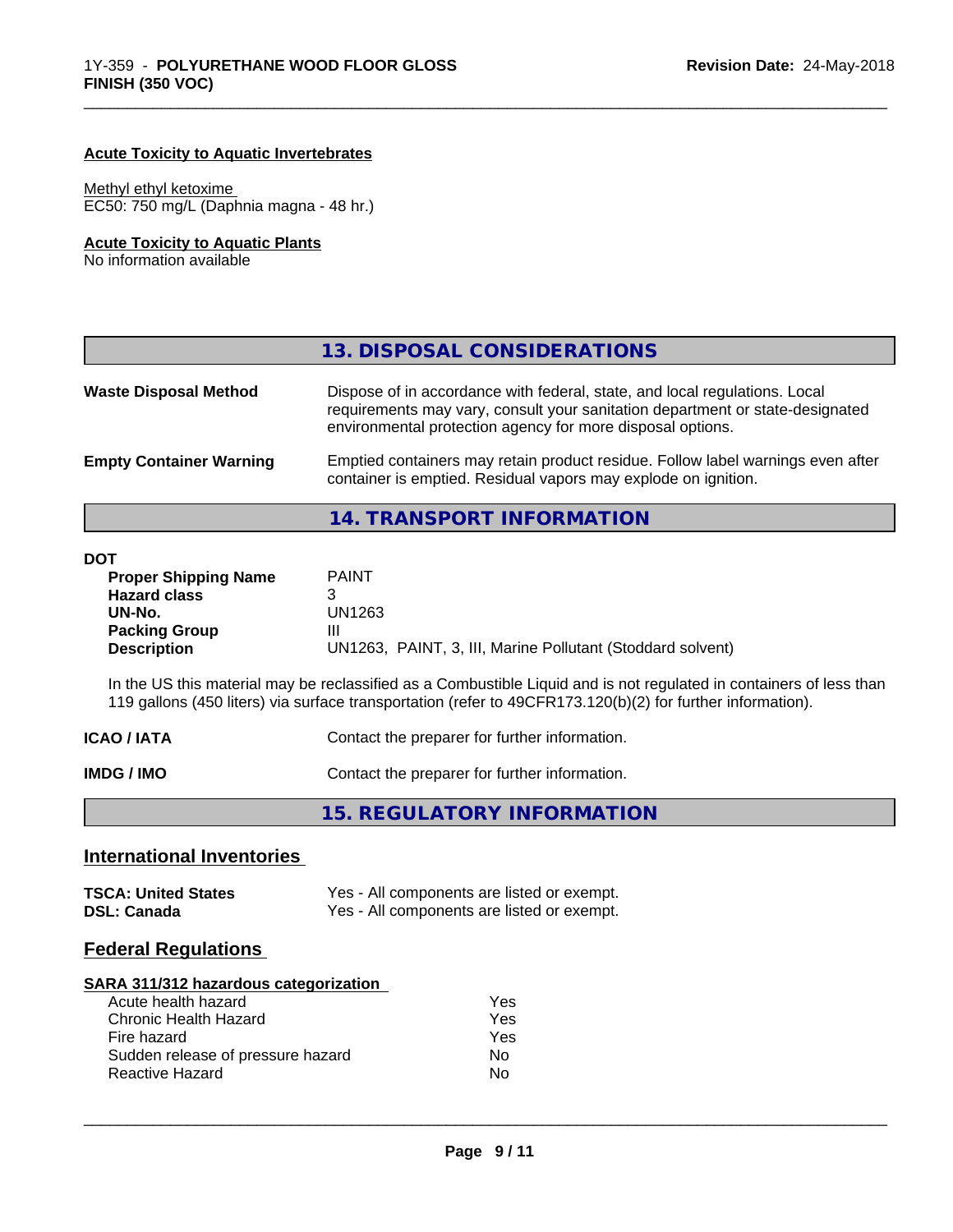# **Acute Toxicity to Aquatic Invertebrates**

#### Methyl ethyl ketoxime

EC50: 750 mg/L (Daphnia magna - 48 hr.)

# **Acute Toxicity to Aquatic Plants**

No information available

|                                | 13. DISPOSAL CONSIDERATIONS                                                                                                                                                                                               |
|--------------------------------|---------------------------------------------------------------------------------------------------------------------------------------------------------------------------------------------------------------------------|
| <b>Waste Disposal Method</b>   | Dispose of in accordance with federal, state, and local regulations. Local<br>requirements may vary, consult your sanitation department or state-designated<br>environmental protection agency for more disposal options. |
| <b>Empty Container Warning</b> | Emptied containers may retain product residue. Follow label warnings even after<br>container is emptied. Residual vapors may explode on ignition.                                                                         |
|                                | 14. TRANSPORT INFORMATION                                                                                                                                                                                                 |

\_\_\_\_\_\_\_\_\_\_\_\_\_\_\_\_\_\_\_\_\_\_\_\_\_\_\_\_\_\_\_\_\_\_\_\_\_\_\_\_\_\_\_\_\_\_\_\_\_\_\_\_\_\_\_\_\_\_\_\_\_\_\_\_\_\_\_\_\_\_\_\_\_\_\_\_\_\_\_\_\_\_\_\_\_\_\_\_\_\_\_\_\_

#### **DOT**

| וטנ                         |                                                            |
|-----------------------------|------------------------------------------------------------|
| <b>Proper Shipping Name</b> | <b>PAINT</b>                                               |
| <b>Hazard class</b>         |                                                            |
| UN-No.                      | UN1263                                                     |
| <b>Packing Group</b>        | Ш                                                          |
| <b>Description</b>          | UN1263, PAINT, 3, III, Marine Pollutant (Stoddard solvent) |
|                             |                                                            |

In the US this material may be reclassified as a Combustible Liquid and is not regulated in containers of less than 119 gallons (450 liters) via surface transportation (refer to 49CFR173.120(b)(2) for further information).

| Contact the preparer for further information.<br><b>ICAO / IATA</b> |  |
|---------------------------------------------------------------------|--|
|---------------------------------------------------------------------|--|

**IMDG / IMO** Contact the preparer for further information.

| 15. REGULATORY INFORMATION |  |
|----------------------------|--|
|----------------------------|--|

# **International Inventories**

| <b>TSCA: United States</b> | Yes - All components are listed or exempt. |
|----------------------------|--------------------------------------------|
| <b>DSL: Canada</b>         | Yes - All components are listed or exempt. |

# **Federal Regulations**

#### **SARA 311/312 hazardous categorization**

| Acute health hazard               | Yes |
|-----------------------------------|-----|
| Chronic Health Hazard             | Yes |
| Fire hazard                       | Yes |
| Sudden release of pressure hazard | Nο  |
| Reactive Hazard                   | N٥  |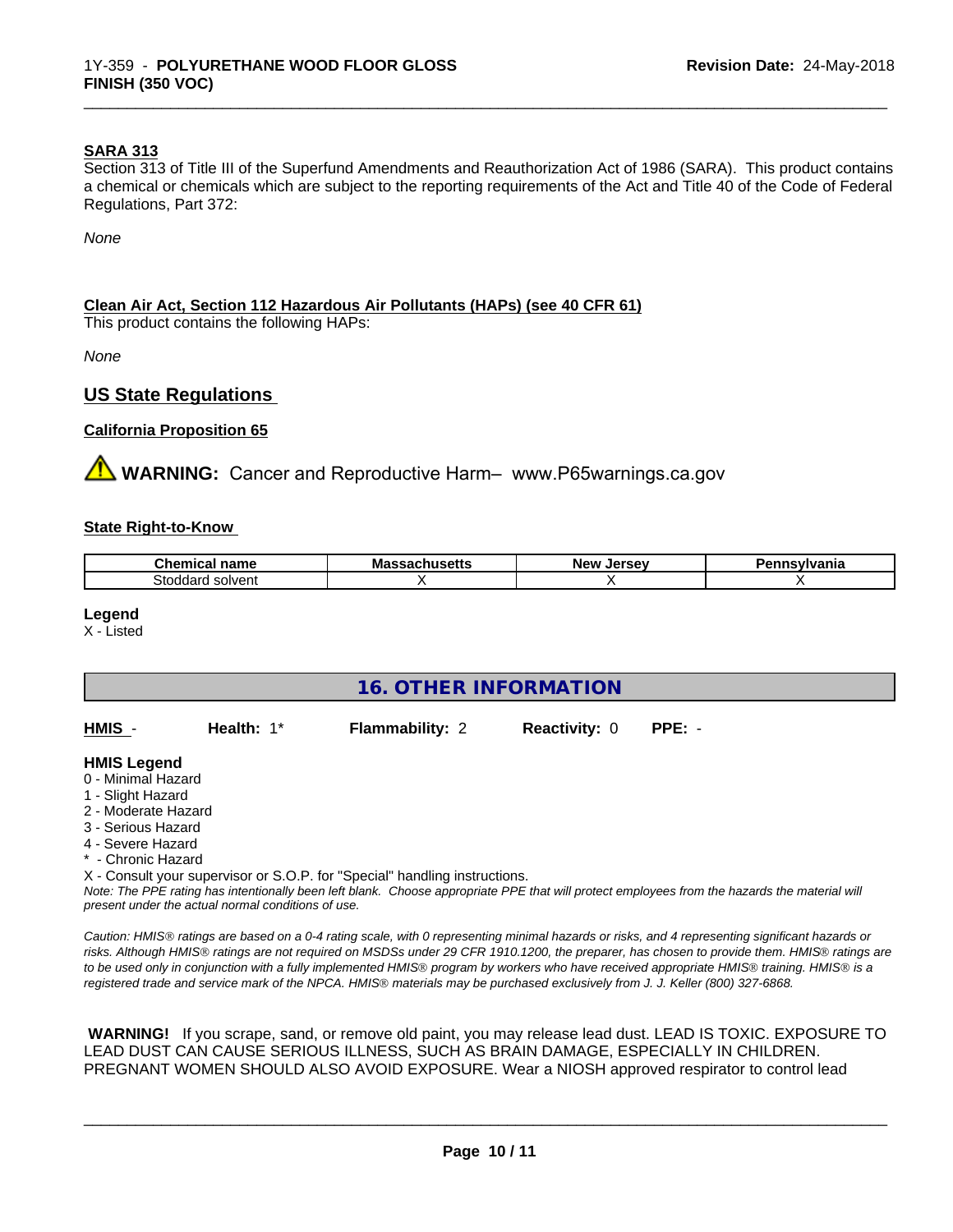#### **SARA 313**

Section 313 of Title III of the Superfund Amendments and Reauthorization Act of 1986 (SARA). This product contains a chemical or chemicals which are subject to the reporting requirements of the Act and Title 40 of the Code of Federal Regulations, Part 372:

\_\_\_\_\_\_\_\_\_\_\_\_\_\_\_\_\_\_\_\_\_\_\_\_\_\_\_\_\_\_\_\_\_\_\_\_\_\_\_\_\_\_\_\_\_\_\_\_\_\_\_\_\_\_\_\_\_\_\_\_\_\_\_\_\_\_\_\_\_\_\_\_\_\_\_\_\_\_\_\_\_\_\_\_\_\_\_\_\_\_\_\_\_

*None*

#### **Clean Air Act,Section 112 Hazardous Air Pollutants (HAPs) (see 40 CFR 61)**

This product contains the following HAPs:

*None*

# **US State Regulations**

#### **California Proposition 65**

**WARNING:** Cancer and Reproductive Harm– www.P65warnings.ca.gov

#### **State Right-to-Know**

| .<br>-- - -- -<br>name<br><br>.              | м.<br>мю<br>---- | <b>Nev</b><br>e ov<br> | . |
|----------------------------------------------|------------------|------------------------|---|
| <b>CALL</b><br>solvent<br>ר הי<br>าลท<br>. . |                  |                        |   |

#### **Legend**

X - Listed

| <b>16. OTHER INFORMATION</b>                                                                                                                                                                                |              |                                                                            |                      |                                                                                                                                               |
|-------------------------------------------------------------------------------------------------------------------------------------------------------------------------------------------------------------|--------------|----------------------------------------------------------------------------|----------------------|-----------------------------------------------------------------------------------------------------------------------------------------------|
| HMIS -                                                                                                                                                                                                      | Health: $1*$ | <b>Flammability: 2</b>                                                     | <b>Reactivity: 0</b> | $PPE: -$                                                                                                                                      |
| <b>HMIS Legend</b><br>0 - Minimal Hazard<br>1 - Slight Hazard<br>2 - Moderate Hazard<br>3 - Serious Hazard<br>4 - Severe Hazard<br>* - Chronic Hazard<br>present under the actual normal conditions of use. |              | X - Consult your supervisor or S.O.P. for "Special" handling instructions. |                      | Note: The PPE rating has intentionally been left blank. Choose appropriate PPE that will protect employees from the hazards the material will |

*Caution: HMISÒ ratings are based on a 0-4 rating scale, with 0 representing minimal hazards or risks, and 4 representing significant hazards or risks. Although HMISÒ ratings are not required on MSDSs under 29 CFR 1910.1200, the preparer, has chosen to provide them. HMISÒ ratings are to be used only in conjunction with a fully implemented HMISÒ program by workers who have received appropriate HMISÒ training. HMISÒ is a registered trade and service mark of the NPCA. HMISÒ materials may be purchased exclusively from J. J. Keller (800) 327-6868.*

 **WARNING!** If you scrape, sand, or remove old paint, you may release lead dust. LEAD IS TOXIC. EXPOSURE TO LEAD DUST CAN CAUSE SERIOUS ILLNESS, SUCH AS BRAIN DAMAGE, ESPECIALLY IN CHILDREN. PREGNANT WOMEN SHOULD ALSO AVOID EXPOSURE.Wear a NIOSH approved respirator to control lead